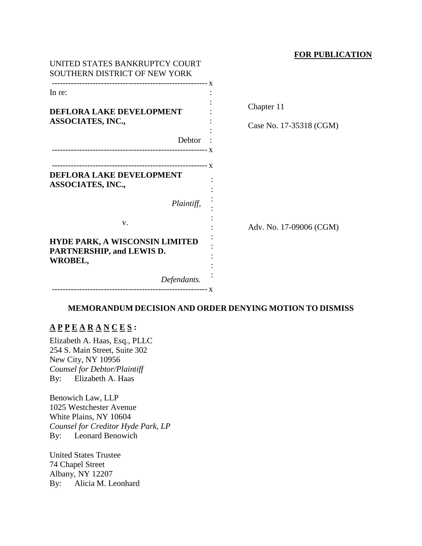### **FOR PUBLICATION**

| UNITED STATES BANKRUPTCY COURT<br>SOUTHERN DISTRICT OF NEW YORK               |                                       |
|-------------------------------------------------------------------------------|---------------------------------------|
| In re:<br>DEFLORA LAKE DEVELOPMENT<br><b>ASSOCIATES, INC.,</b>                | Chapter 11<br>Case No. 17-35318 (CGM) |
| Debtor                                                                        |                                       |
| <b>DEFLORA LAKE DEVELOPMENT</b><br><b>ASSOCIATES, INC.,</b>                   |                                       |
| Plaintiff,                                                                    |                                       |
| V.                                                                            | Adv. No. 17-09006 (CGM)               |
| <b>HYDE PARK, A WISCONSIN LIMITED</b><br>PARTNERSHIP, and LEWIS D.<br>WROBEL, |                                       |
| Defendants.                                                                   |                                       |

## **MEMORANDUM DECISION AND ORDER DENYING MOTION TO DISMISS**

# **A P P E A R A N C E S :**

Elizabeth A. Haas, Esq., PLLC 254 S. Main Street, Suite 302 New City, NY 10956 *Counsel for Debtor/Plaintiff* By: Elizabeth A. Haas

Benowich Law, LLP 1025 Westchester Avenue White Plains, NY 10604 *Counsel for Creditor Hyde Park, LP* By: Leonard Benowich

United States Trustee 74 Chapel Street Albany, NY 12207 By: Alicia M. Leonhard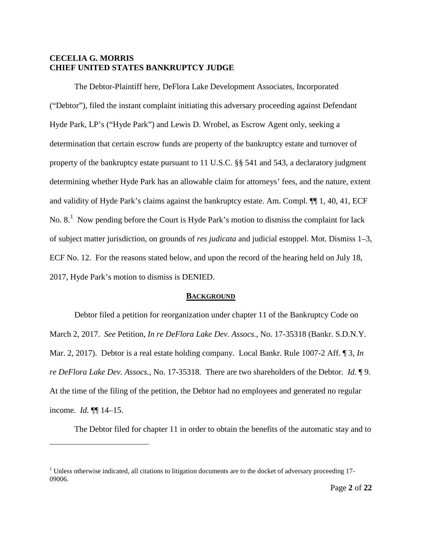## **CECELIA G. MORRIS CHIEF UNITED STATES BANKRUPTCY JUDGE**

The Debtor-Plaintiff here, DeFlora Lake Development Associates, Incorporated ("Debtor"), filed the instant complaint initiating this adversary proceeding against Defendant Hyde Park, LP's ("Hyde Park") and Lewis D. Wrobel, as Escrow Agent only, seeking a determination that certain escrow funds are property of the bankruptcy estate and turnover of property of the bankruptcy estate pursuant to 11 U.S.C. §§ 541 and 543, a declaratory judgment determining whether Hyde Park has an allowable claim for attorneys' fees, and the nature, extent and validity of Hyde Park's claims against the bankruptcy estate. Am. Compl. ¶¶ 1, 40, 41, ECF No.  $8<sup>1</sup>$  $8<sup>1</sup>$  $8<sup>1</sup>$  Now pending before the Court is Hyde Park's motion to dismiss the complaint for lack of subject matter jurisdiction, on grounds of *res judicata* and judicial estoppel. Mot. Dismiss 1–3, ECF No. 12. For the reasons stated below, and upon the record of the hearing held on July 18, 2017, Hyde Park's motion to dismiss is DENIED.

#### **BACKGROUND**

Debtor filed a petition for reorganization under chapter 11 of the Bankruptcy Code on March 2, 2017. *See* Petition, *In re DeFlora Lake Dev. Assocs.*, No. 17-35318 (Bankr. S.D.N.Y. Mar. 2, 2017). Debtor is a real estate holding company. Local Bankr. Rule 1007-2 Aff. ¶ 3, *In re DeFlora Lake Dev. Assocs.*, No. 17-35318. There are two shareholders of the Debtor. *Id.* ¶ 9. At the time of the filing of the petition, the Debtor had no employees and generated no regular income. *Id.* ¶¶ 14–15.

The Debtor filed for chapter 11 in order to obtain the benefits of the automatic stay and to

 $\overline{a}$ 

<span id="page-1-0"></span> $1$  Unless otherwise indicated, all citations to litigation documents are to the docket of adversary proceeding 17-09006.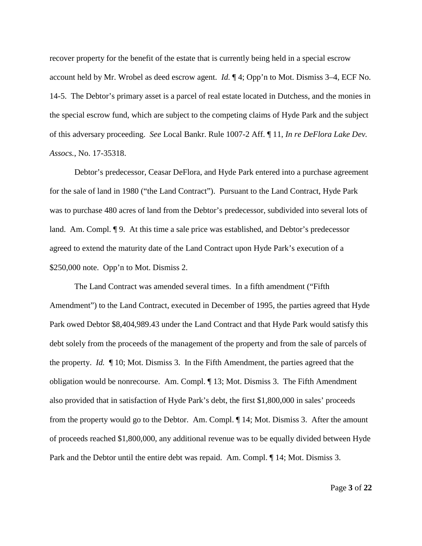recover property for the benefit of the estate that is currently being held in a special escrow account held by Mr. Wrobel as deed escrow agent. *Id.* ¶ 4; Opp'n to Mot. Dismiss 3–4, ECF No. 14-5. The Debtor's primary asset is a parcel of real estate located in Dutchess, and the monies in the special escrow fund, which are subject to the competing claims of Hyde Park and the subject of this adversary proceeding. *See* Local Bankr. Rule 1007-2 Aff. ¶ 11, *In re DeFlora Lake Dev. Assocs.*, No. 17-35318.

Debtor's predecessor, Ceasar DeFlora, and Hyde Park entered into a purchase agreement for the sale of land in 1980 ("the Land Contract"). Pursuant to the Land Contract, Hyde Park was to purchase 480 acres of land from the Debtor's predecessor, subdivided into several lots of land. Am. Compl. ¶ 9. At this time a sale price was established, and Debtor's predecessor agreed to extend the maturity date of the Land Contract upon Hyde Park's execution of a \$250,000 note. Opp'n to Mot. Dismiss 2.

The Land Contract was amended several times. In a fifth amendment ("Fifth Amendment") to the Land Contract, executed in December of 1995, the parties agreed that Hyde Park owed Debtor \$8,404,989.43 under the Land Contract and that Hyde Park would satisfy this debt solely from the proceeds of the management of the property and from the sale of parcels of the property. *Id.* ¶ 10; Mot. Dismiss 3. In the Fifth Amendment, the parties agreed that the obligation would be nonrecourse. Am. Compl. ¶ 13; Mot. Dismiss 3. The Fifth Amendment also provided that in satisfaction of Hyde Park's debt, the first \$1,800,000 in sales' proceeds from the property would go to the Debtor. Am. Compl. ¶ 14; Mot. Dismiss 3. After the amount of proceeds reached \$1,800,000, any additional revenue was to be equally divided between Hyde Park and the Debtor until the entire debt was repaid. Am. Compl. ¶ 14; Mot. Dismiss 3.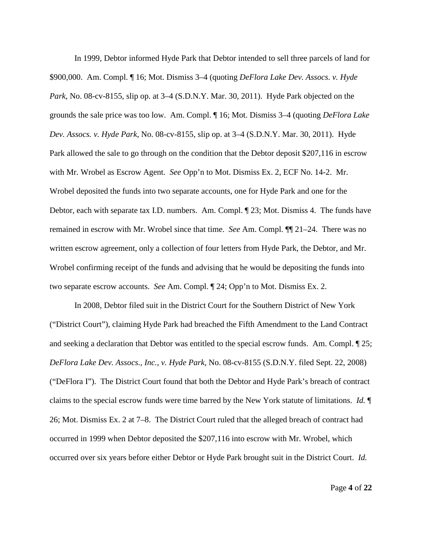In 1999, Debtor informed Hyde Park that Debtor intended to sell three parcels of land for \$900,000. Am. Compl. ¶ 16; Mot. Dismiss 3–4 (quoting *DeFlora Lake Dev. Assocs. v. Hyde Park*, No. 08-cv-8155, slip op. at 3–4 (S.D.N.Y. Mar. 30, 2011). Hyde Park objected on the grounds the sale price was too low. Am. Compl. ¶ 16; Mot. Dismiss 3–4 (quoting *DeFlora Lake Dev. Assocs. v. Hyde Park*, No. 08-cv-8155, slip op. at 3–4 (S.D.N.Y. Mar. 30, 2011). Hyde Park allowed the sale to go through on the condition that the Debtor deposit \$207,116 in escrow with Mr. Wrobel as Escrow Agent. *See* Opp'n to Mot. Dismiss Ex. 2, ECF No. 14-2. Mr. Wrobel deposited the funds into two separate accounts, one for Hyde Park and one for the Debtor, each with separate tax I.D. numbers. Am. Compl. ¶ 23; Mot. Dismiss 4. The funds have remained in escrow with Mr. Wrobel since that time. *See* Am. Compl. ¶¶ 21–24. There was no written escrow agreement, only a collection of four letters from Hyde Park, the Debtor, and Mr. Wrobel confirming receipt of the funds and advising that he would be depositing the funds into two separate escrow accounts. *See* Am. Compl. ¶ 24; Opp'n to Mot. Dismiss Ex. 2.

In 2008, Debtor filed suit in the District Court for the Southern District of New York ("District Court"), claiming Hyde Park had breached the Fifth Amendment to the Land Contract and seeking a declaration that Debtor was entitled to the special escrow funds. Am. Compl. ¶ 25; *DeFlora Lake Dev. Assocs., Inc., v. Hyde Park*, No. 08-cv-8155 (S.D.N.Y. filed Sept. 22, 2008) ("DeFlora I"). The District Court found that both the Debtor and Hyde Park's breach of contract claims to the special escrow funds were time barred by the New York statute of limitations. *Id.* ¶ 26; Mot. Dismiss Ex. 2 at 7–8. The District Court ruled that the alleged breach of contract had occurred in 1999 when Debtor deposited the \$207,116 into escrow with Mr. Wrobel, which occurred over six years before either Debtor or Hyde Park brought suit in the District Court. *Id.*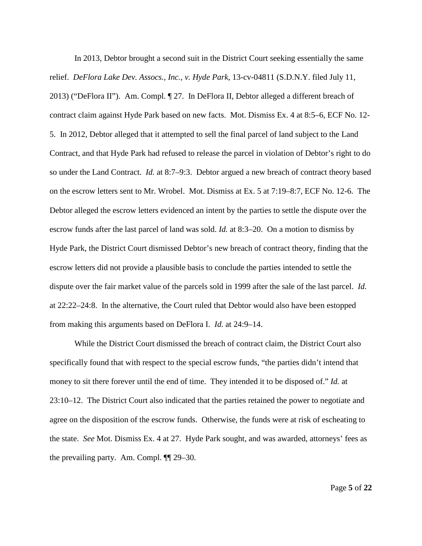In 2013, Debtor brought a second suit in the District Court seeking essentially the same relief. *DeFlora Lake Dev. Assocs., Inc., v. Hyde Park*, 13-cv-04811 (S.D.N.Y. filed July 11, 2013) ("DeFlora II"). Am. Compl. ¶ 27. In DeFlora II, Debtor alleged a different breach of contract claim against Hyde Park based on new facts. Mot. Dismiss Ex. 4 at 8:5–6, ECF No. 12- 5. In 2012, Debtor alleged that it attempted to sell the final parcel of land subject to the Land Contract, and that Hyde Park had refused to release the parcel in violation of Debtor's right to do so under the Land Contract. *Id.* at 8:7–9:3. Debtor argued a new breach of contract theory based on the escrow letters sent to Mr. Wrobel. Mot. Dismiss at Ex. 5 at 7:19–8:7, ECF No. 12-6. The Debtor alleged the escrow letters evidenced an intent by the parties to settle the dispute over the escrow funds after the last parcel of land was sold. *Id.* at 8:3–20. On a motion to dismiss by Hyde Park, the District Court dismissed Debtor's new breach of contract theory, finding that the escrow letters did not provide a plausible basis to conclude the parties intended to settle the dispute over the fair market value of the parcels sold in 1999 after the sale of the last parcel. *Id.* at 22:22–24:8. In the alternative, the Court ruled that Debtor would also have been estopped from making this arguments based on DeFlora I. *Id.* at 24:9–14.

While the District Court dismissed the breach of contract claim, the District Court also specifically found that with respect to the special escrow funds, "the parties didn't intend that money to sit there forever until the end of time. They intended it to be disposed of." *Id.* at 23:10–12. The District Court also indicated that the parties retained the power to negotiate and agree on the disposition of the escrow funds. Otherwise, the funds were at risk of escheating to the state. *See* Mot. Dismiss Ex. 4 at 27. Hyde Park sought, and was awarded, attorneys' fees as the prevailing party. Am. Compl. ¶¶ 29–30.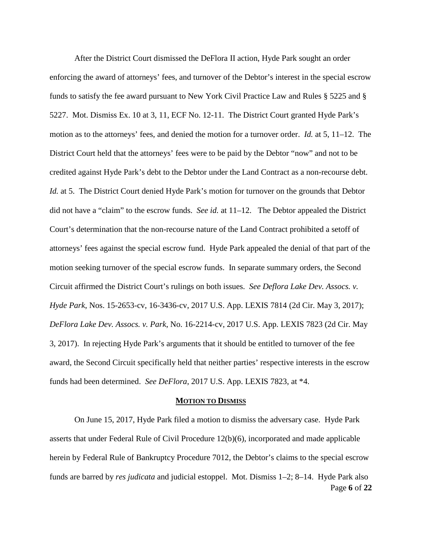After the District Court dismissed the DeFlora II action, Hyde Park sought an order enforcing the award of attorneys' fees, and turnover of the Debtor's interest in the special escrow funds to satisfy the fee award pursuant to New York Civil Practice Law and Rules § 5225 and § 5227. Mot. Dismiss Ex. 10 at 3, 11, ECF No. 12-11. The District Court granted Hyde Park's motion as to the attorneys' fees, and denied the motion for a turnover order. *Id.* at 5, 11–12. The District Court held that the attorneys' fees were to be paid by the Debtor "now" and not to be credited against Hyde Park's debt to the Debtor under the Land Contract as a non-recourse debt. *Id.* at 5. The District Court denied Hyde Park's motion for turnover on the grounds that Debtor did not have a "claim" to the escrow funds. *See id.* at 11–12. The Debtor appealed the District Court's determination that the non-recourse nature of the Land Contract prohibited a setoff of attorneys' fees against the special escrow fund. Hyde Park appealed the denial of that part of the motion seeking turnover of the special escrow funds. In separate summary orders, the Second Circuit affirmed the District Court's rulings on both issues. *See Deflora Lake Dev. Assocs. v. Hyde Park*, Nos. 15-2653-cv, 16-3436-cv, 2017 U.S. App. LEXIS 7814 (2d Cir. May 3, 2017); *DeFlora Lake Dev. Assocs. v. Park*, No. 16-2214-cv, 2017 U.S. App. LEXIS 7823 (2d Cir. May 3, 2017). In rejecting Hyde Park's arguments that it should be entitled to turnover of the fee award, the Second Circuit specifically held that neither parties' respective interests in the escrow funds had been determined. *See DeFlora*, 2017 U.S. App. LEXIS 7823, at \*4.

#### **MOTION TO DISMISS**

Page **6** of **22** On June 15, 2017, Hyde Park filed a motion to dismiss the adversary case. Hyde Park asserts that under Federal Rule of Civil Procedure 12(b)(6), incorporated and made applicable herein by Federal Rule of Bankruptcy Procedure 7012, the Debtor's claims to the special escrow funds are barred by *res judicata* and judicial estoppel. Mot. Dismiss 1–2; 8–14. Hyde Park also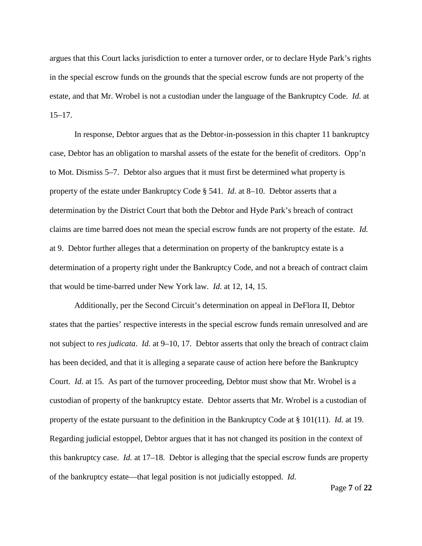argues that this Court lacks jurisdiction to enter a turnover order, or to declare Hyde Park's rights in the special escrow funds on the grounds that the special escrow funds are not property of the estate, and that Mr. Wrobel is not a custodian under the language of the Bankruptcy Code. *Id.* at 15–17.

In response, Debtor argues that as the Debtor-in-possession in this chapter 11 bankruptcy case, Debtor has an obligation to marshal assets of the estate for the benefit of creditors. Opp'n to Mot. Dismiss 5–7. Debtor also argues that it must first be determined what property is property of the estate under Bankruptcy Code § 541. *Id.* at 8–10. Debtor asserts that a determination by the District Court that both the Debtor and Hyde Park's breach of contract claims are time barred does not mean the special escrow funds are not property of the estate. *Id.* at 9. Debtor further alleges that a determination on property of the bankruptcy estate is a determination of a property right under the Bankruptcy Code, and not a breach of contract claim that would be time-barred under New York law. *Id.* at 12, 14, 15.

Additionally, per the Second Circuit's determination on appeal in DeFlora II, Debtor states that the parties' respective interests in the special escrow funds remain unresolved and are not subject to *res judicata*. *Id.* at 9–10, 17. Debtor asserts that only the breach of contract claim has been decided, and that it is alleging a separate cause of action here before the Bankruptcy Court. *Id.* at 15. As part of the turnover proceeding, Debtor must show that Mr. Wrobel is a custodian of property of the bankruptcy estate. Debtor asserts that Mr. Wrobel is a custodian of property of the estate pursuant to the definition in the Bankruptcy Code at § 101(11). *Id.* at 19. Regarding judicial estoppel, Debtor argues that it has not changed its position in the context of this bankruptcy case. *Id.* at 17–18. Debtor is alleging that the special escrow funds are property of the bankruptcy estate—that legal position is not judicially estopped. *Id.*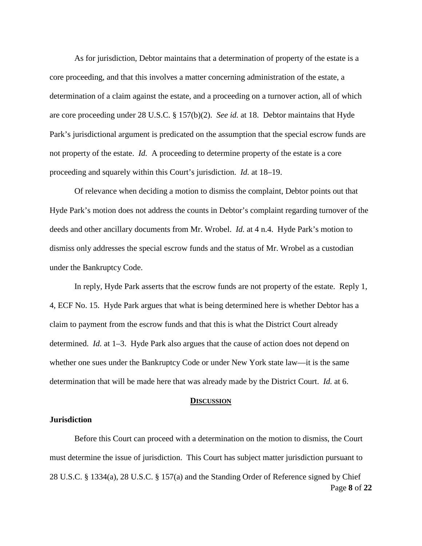As for jurisdiction, Debtor maintains that a determination of property of the estate is a core proceeding, and that this involves a matter concerning administration of the estate, a determination of a claim against the estate, and a proceeding on a turnover action, all of which are core proceeding under 28 U.S.C. § 157(b)(2). *See id.* at 18. Debtor maintains that Hyde Park's jurisdictional argument is predicated on the assumption that the special escrow funds are not property of the estate. *Id.* A proceeding to determine property of the estate is a core proceeding and squarely within this Court's jurisdiction. *Id.* at 18–19.

Of relevance when deciding a motion to dismiss the complaint, Debtor points out that Hyde Park's motion does not address the counts in Debtor's complaint regarding turnover of the deeds and other ancillary documents from Mr. Wrobel. *Id.* at 4 n.4. Hyde Park's motion to dismiss only addresses the special escrow funds and the status of Mr. Wrobel as a custodian under the Bankruptcy Code.

In reply, Hyde Park asserts that the escrow funds are not property of the estate. Reply 1, 4, ECF No. 15. Hyde Park argues that what is being determined here is whether Debtor has a claim to payment from the escrow funds and that this is what the District Court already determined. *Id.* at 1–3. Hyde Park also argues that the cause of action does not depend on whether one sues under the Bankruptcy Code or under New York state law—it is the same determination that will be made here that was already made by the District Court. *Id.* at 6.

#### **DISCUSSION**

#### **Jurisdiction**

Page **8** of **22** Before this Court can proceed with a determination on the motion to dismiss, the Court must determine the issue of jurisdiction. This Court has subject matter jurisdiction pursuant to 28 U.S.C. § 1334(a), 28 U.S.C. § 157(a) and the Standing Order of Reference signed by Chief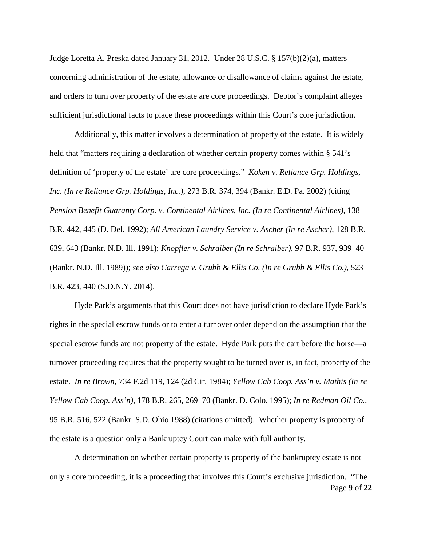Judge Loretta A. Preska dated January 31, 2012. Under 28 U.S.C. § 157(b)(2)(a), matters concerning administration of the estate, allowance or disallowance of claims against the estate, and orders to turn over property of the estate are core proceedings. Debtor's complaint alleges sufficient jurisdictional facts to place these proceedings within this Court's core jurisdiction.

Additionally, this matter involves a determination of property of the estate. It is widely held that "matters requiring a declaration of whether certain property comes within § 541's definition of 'property of the estate' are core proceedings." *Koken v. Reliance Grp. Holdings, Inc. (In re Reliance Grp. Holdings, Inc.)*, 273 B.R. 374, 394 (Bankr. E.D. Pa. 2002) (citing *Pension Benefit Guaranty Corp. v. Continental Airlines, Inc. (In re Continental Airlines)*, 138 B.R. 442, 445 (D. Del. 1992); *All American Laundry Service v. Ascher (In re Ascher)*, 128 B.R. 639, 643 (Bankr. N.D. Ill. 1991); *Knopfler v. Schraiber (In re Schraiber)*, 97 B.R. 937, 939–40 (Bankr. N.D. Ill. 1989)); *see also Carrega v. Grubb & Ellis Co. (In re Grubb & Ellis Co.)*, 523 B.R. 423, 440 (S.D.N.Y. 2014).

Hyde Park's arguments that this Court does not have jurisdiction to declare Hyde Park's rights in the special escrow funds or to enter a turnover order depend on the assumption that the special escrow funds are not property of the estate. Hyde Park puts the cart before the horse—a turnover proceeding requires that the property sought to be turned over is, in fact, property of the estate. *In re Brown*, 734 F.2d 119, 124 (2d Cir. 1984); *Yellow Cab Coop. Ass'n v. Mathis (In re Yellow Cab Coop. Ass'n)*, 178 B.R. 265, 269–70 (Bankr. D. Colo. 1995); *In re Redman Oil Co.*, 95 B.R. 516, 522 (Bankr. S.D. Ohio 1988) (citations omitted). Whether property is property of the estate is a question only a Bankruptcy Court can make with full authority.

Page **9** of **22** A determination on whether certain property is property of the bankruptcy estate is not only a core proceeding, it is a proceeding that involves this Court's exclusive jurisdiction. "The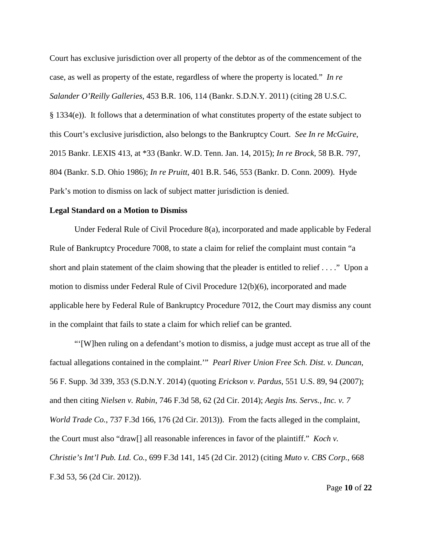Court has exclusive jurisdiction over all property of the debtor as of the commencement of the case, as well as property of the estate, regardless of where the property is located." *In re Salander O'Reilly Galleries*, 453 B.R. 106, 114 (Bankr. S.D.N.Y. 2011) (citing 28 U.S.C. § 1334(e)). It follows that a determination of what constitutes property of the estate subject to this Court's exclusive jurisdiction, also belongs to the Bankruptcy Court. *See In re McGuire*, 2015 Bankr. LEXIS 413, at \*33 (Bankr. W.D. Tenn. Jan. 14, 2015); *In re Brock*, 58 B.R. 797, 804 (Bankr. S.D. Ohio 1986); *In re Pruitt*, 401 B.R. 546, 553 (Bankr. D. Conn. 2009). Hyde Park's motion to dismiss on lack of subject matter jurisdiction is denied.

### **Legal Standard on a Motion to Dismiss**

Under Federal Rule of Civil Procedure 8(a), incorporated and made applicable by Federal Rule of Bankruptcy Procedure 7008, to state a claim for relief the complaint must contain "a short and plain statement of the claim showing that the pleader is entitled to relief . . . ." Upon a motion to dismiss under Federal Rule of Civil Procedure 12(b)(6), incorporated and made applicable here by Federal Rule of Bankruptcy Procedure 7012, the Court may dismiss any count in the complaint that fails to state a claim for which relief can be granted.

"'[W]hen ruling on a defendant's motion to dismiss, a judge must accept as true all of the factual allegations contained in the complaint.'" *Pearl River Union Free Sch. Dist. v. Duncan*, 56 F. Supp. 3d 339, 353 (S.D.N.Y. 2014) (quoting *Erickson v. Pardus*, 551 U.S. 89, 94 (2007); and then citing *Nielsen v. Rabin*, 746 F.3d 58, 62 (2d Cir. 2014); *Aegis Ins. Servs., Inc. v. 7 World Trade Co.*, 737 F.3d 166, 176 (2d Cir. 2013)). From the facts alleged in the complaint, the Court must also "draw[] all reasonable inferences in favor of the plaintiff." *Koch v. Christie's Int'l Pub. Ltd. Co.*, 699 F.3d 141, 145 (2d Cir. 2012) (citing *Muto v. CBS Corp.*, 668 F.3d 53, 56 (2d Cir. 2012)).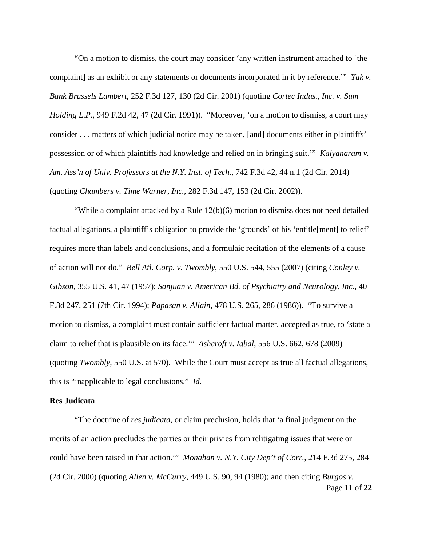"On a motion to dismiss, the court may consider 'any written instrument attached to [the complaint] as an exhibit or any statements or documents incorporated in it by reference." *Yak v*. *Bank Brussels Lambert*, 252 F.3d 127, 130 (2d Cir. 2001) (quoting *Cortec Indus., Inc. v. Sum Holding L.P.*, 949 F.2d 42, 47 (2d Cir. 1991)). "Moreover, 'on a motion to dismiss, a court may consider . . . matters of which judicial notice may be taken, [and] documents either in plaintiffs' possession or of which plaintiffs had knowledge and relied on in bringing suit.'" *Kalyanaram v. Am. Ass'n of Univ. Professors at the N.Y. Inst. of Tech.*, 742 F.3d 42, 44 n.1 (2d Cir. 2014) (quoting *Chambers v. Time Warner, Inc.*, 282 F.3d 147, 153 (2d Cir. 2002)).

"While a complaint attacked by a Rule 12(b)(6) motion to dismiss does not need detailed factual allegations, a plaintiff's obligation to provide the 'grounds' of his 'entitle[ment] to relief' requires more than labels and conclusions, and a formulaic recitation of the elements of a cause of action will not do." *Bell Atl. Corp. v. Twombly*, 550 U.S. 544, 555 (2007) (citing *Conley v. Gibson*, 355 U.S. 41, 47 (1957); *Sanjuan v. American Bd. of Psychiatry and Neurology, Inc.*, 40 F.3d 247, 251 (7th Cir. 1994); *Papasan v. Allain*, 478 U.S. 265, 286 (1986)). "To survive a motion to dismiss, a complaint must contain sufficient factual matter, accepted as true, to 'state a claim to relief that is plausible on its face.'" *Ashcroft v. Iqbal*, 556 U.S. 662, 678 (2009) (quoting *Twombly*, 550 U.S. at 570). While the Court must accept as true all factual allegations, this is "inapplicable to legal conclusions." *Id.*

### **Res Judicata**

Page **11** of **22** "The doctrine of *res judicata*, or claim preclusion, holds that 'a final judgment on the merits of an action precludes the parties or their privies from relitigating issues that were or could have been raised in that action.'" *Monahan v. N.Y. City Dep't of Corr.*, 214 F.3d 275, 284 (2d Cir. 2000) (quoting *Allen v. McCurry*, 449 U.S. 90, 94 (1980); and then citing *Burgos v.*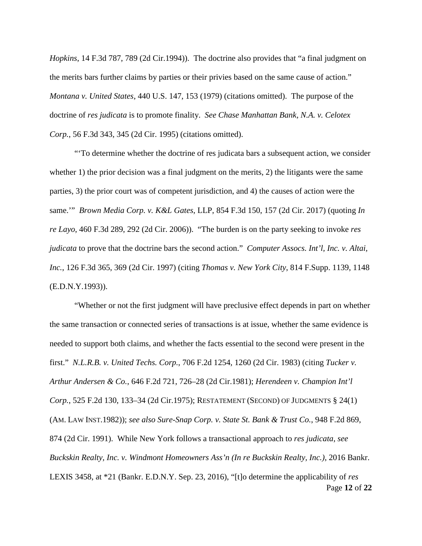*Hopkins*, 14 F.3d 787, 789 (2d Cir.1994)). The doctrine also provides that "a final judgment on the merits bars further claims by parties or their privies based on the same cause of action." *Montana v. United States*, 440 U.S. 147, 153 (1979) (citations omitted). The purpose of the doctrine of *res judicata* is to promote finality. *See Chase Manhattan Bank, N.A. v. Celotex Corp.*, 56 F.3d 343, 345 (2d Cir. 1995) (citations omitted).

"'To determine whether the doctrine of res judicata bars a subsequent action, we consider whether 1) the prior decision was a final judgment on the merits, 2) the litigants were the same parties, 3) the prior court was of competent jurisdiction, and 4) the causes of action were the same.'" *Brown Media Corp. v. K&L Gates*, LLP, 854 F.3d 150, 157 (2d Cir. 2017) (quoting *In re Layo*, 460 F.3d 289, 292 (2d Cir. 2006)). "The burden is on the party seeking to invoke *res judicata* to prove that the doctrine bars the second action." *Computer Assocs. Int'l, Inc. v. Altai, Inc.*, 126 F.3d 365, 369 (2d Cir. 1997) (citing *Thomas v. New York City*, 814 F.Supp. 1139, 1148 (E.D.N.Y.1993)).

Page **12** of **22** "Whether or not the first judgment will have preclusive effect depends in part on whether the same transaction or connected series of transactions is at issue, whether the same evidence is needed to support both claims, and whether the facts essential to the second were present in the first." *N.L.R.B. v. United Techs. Corp.*, 706 F.2d 1254, 1260 (2d Cir. 1983) (citing *Tucker v. Arthur Andersen & Co.*, 646 F.2d 721, 726–28 (2d Cir.1981); *Herendeen v. Champion Int'l Corp.*, 525 F.2d 130, 133–34 (2d Cir.1975); RESTATEMENT (SECOND) OF JUDGMENTS § 24(1) (AM. LAW INST.1982)); *see also Sure-Snap Corp. v. State St. Bank & Trust Co.*, 948 F.2d 869, 874 (2d Cir. 1991). While New York follows a transactional approach to *res judicata*, *see Buckskin Realty, Inc. v. Windmont Homeowners Ass'n (In re Buckskin Realty, Inc.)*, 2016 Bankr. LEXIS 3458, at \*21 (Bankr. E.D.N.Y. Sep. 23, 2016), "[t]o determine the applicability of *res*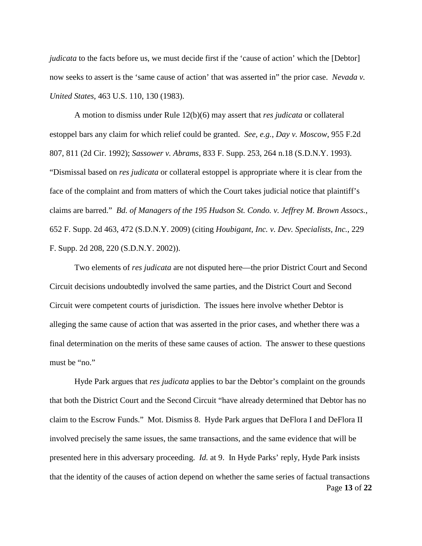*judicata* to the facts before us, we must decide first if the 'cause of action' which the [Debtor] now seeks to assert is the 'same cause of action' that was asserted in" the prior case. *Nevada v. United States*, 463 U.S. 110, 130 (1983).

A motion to dismiss under Rule 12(b)(6) may assert that *res judicata* or collateral estoppel bars any claim for which relief could be granted. *See, e.g.*, *Day v. Moscow*, 955 F.2d 807, 811 (2d Cir. 1992); *Sassower v. Abrams*, 833 F. Supp. 253, 264 n.18 (S.D.N.Y. 1993). "Dismissal based on *res judicata* or collateral estoppel is appropriate where it is clear from the face of the complaint and from matters of which the Court takes judicial notice that plaintiff's claims are barred." *Bd. of Managers of the 195 Hudson St. Condo. v. Jeffrey M. Brown Assocs.*, 652 F. Supp. 2d 463, 472 (S.D.N.Y. 2009) (citing *Houbigant, Inc. v. Dev. Specialists, Inc.*, 229 F. Supp. 2d 208, 220 (S.D.N.Y. 2002)).

Two elements of *res judicata* are not disputed here—the prior District Court and Second Circuit decisions undoubtedly involved the same parties, and the District Court and Second Circuit were competent courts of jurisdiction. The issues here involve whether Debtor is alleging the same cause of action that was asserted in the prior cases, and whether there was a final determination on the merits of these same causes of action. The answer to these questions must be "no."

Page **13** of **22** Hyde Park argues that *res judicata* applies to bar the Debtor's complaint on the grounds that both the District Court and the Second Circuit "have already determined that Debtor has no claim to the Escrow Funds." Mot. Dismiss 8. Hyde Park argues that DeFlora I and DeFlora II involved precisely the same issues, the same transactions, and the same evidence that will be presented here in this adversary proceeding. *Id.* at 9. In Hyde Parks' reply, Hyde Park insists that the identity of the causes of action depend on whether the same series of factual transactions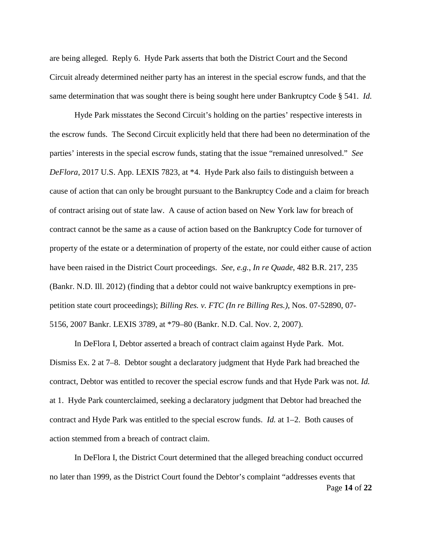are being alleged. Reply 6. Hyde Park asserts that both the District Court and the Second Circuit already determined neither party has an interest in the special escrow funds, and that the same determination that was sought there is being sought here under Bankruptcy Code § 541. *Id.*

Hyde Park misstates the Second Circuit's holding on the parties' respective interests in the escrow funds. The Second Circuit explicitly held that there had been no determination of the parties' interests in the special escrow funds, stating that the issue "remained unresolved." *See DeFlora*, 2017 U.S. App. LEXIS 7823, at \*4. Hyde Park also fails to distinguish between a cause of action that can only be brought pursuant to the Bankruptcy Code and a claim for breach of contract arising out of state law. A cause of action based on New York law for breach of contract cannot be the same as a cause of action based on the Bankruptcy Code for turnover of property of the estate or a determination of property of the estate, nor could either cause of action have been raised in the District Court proceedings. *See, e.g.*, *In re Quade*, 482 B.R. 217, 235 (Bankr. N.D. Ill. 2012) (finding that a debtor could not waive bankruptcy exemptions in prepetition state court proceedings); *Billing Res. v. FTC (In re Billing Res.)*, Nos. 07-52890, 07- 5156, 2007 Bankr. LEXIS 3789, at \*79–80 (Bankr. N.D. Cal. Nov. 2, 2007).

In DeFlora I, Debtor asserted a breach of contract claim against Hyde Park. Mot. Dismiss Ex. 2 at 7–8. Debtor sought a declaratory judgment that Hyde Park had breached the contract, Debtor was entitled to recover the special escrow funds and that Hyde Park was not. *Id.* at 1. Hyde Park counterclaimed, seeking a declaratory judgment that Debtor had breached the contract and Hyde Park was entitled to the special escrow funds. *Id.* at 1–2. Both causes of action stemmed from a breach of contract claim.

Page **14** of **22** In DeFlora I, the District Court determined that the alleged breaching conduct occurred no later than 1999, as the District Court found the Debtor's complaint "addresses events that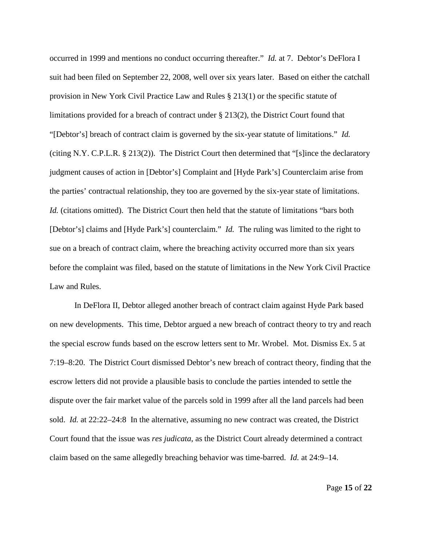occurred in 1999 and mentions no conduct occurring thereafter." *Id.* at 7. Debtor's DeFlora I suit had been filed on September 22, 2008, well over six years later. Based on either the catchall provision in New York Civil Practice Law and Rules § 213(1) or the specific statute of limitations provided for a breach of contract under § 213(2), the District Court found that "[Debtor's] breach of contract claim is governed by the six-year statute of limitations." *Id.* (citing N.Y. C.P.L.R. § 213(2)). The District Court then determined that "[s]ince the declaratory judgment causes of action in [Debtor's] Complaint and [Hyde Park's] Counterclaim arise from the parties' contractual relationship, they too are governed by the six-year state of limitations. *Id.* (citations omitted). The District Court then held that the statute of limitations "bars both [Debtor's] claims and [Hyde Park's] counterclaim." *Id.* The ruling was limited to the right to sue on a breach of contract claim, where the breaching activity occurred more than six years before the complaint was filed, based on the statute of limitations in the New York Civil Practice Law and Rules.

In DeFlora II, Debtor alleged another breach of contract claim against Hyde Park based on new developments. This time, Debtor argued a new breach of contract theory to try and reach the special escrow funds based on the escrow letters sent to Mr. Wrobel. Mot. Dismiss Ex. 5 at 7:19–8:20. The District Court dismissed Debtor's new breach of contract theory, finding that the escrow letters did not provide a plausible basis to conclude the parties intended to settle the dispute over the fair market value of the parcels sold in 1999 after all the land parcels had been sold. *Id.* at 22:22–24:8 In the alternative, assuming no new contract was created, the District Court found that the issue was *res judicata*, as the District Court already determined a contract claim based on the same allegedly breaching behavior was time-barred. *Id.* at 24:9–14.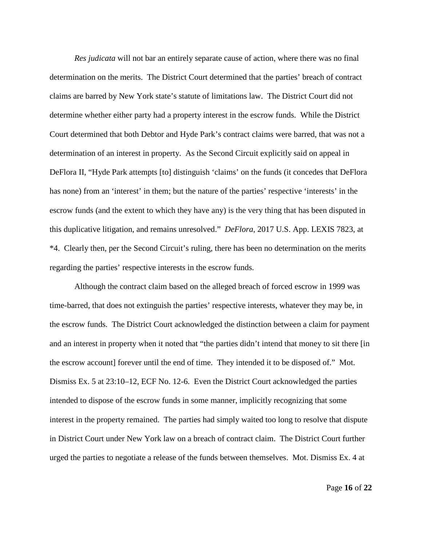*Res judicata* will not bar an entirely separate cause of action, where there was no final determination on the merits. The District Court determined that the parties' breach of contract claims are barred by New York state's statute of limitations law. The District Court did not determine whether either party had a property interest in the escrow funds. While the District Court determined that both Debtor and Hyde Park's contract claims were barred, that was not a determination of an interest in property. As the Second Circuit explicitly said on appeal in DeFlora II, "Hyde Park attempts [to] distinguish 'claims' on the funds (it concedes that DeFlora has none) from an 'interest' in them; but the nature of the parties' respective 'interests' in the escrow funds (and the extent to which they have any) is the very thing that has been disputed in this duplicative litigation, and remains unresolved." *DeFlora*, 2017 U.S. App. LEXIS 7823, at \*4. Clearly then, per the Second Circuit's ruling, there has been no determination on the merits regarding the parties' respective interests in the escrow funds.

Although the contract claim based on the alleged breach of forced escrow in 1999 was time-barred, that does not extinguish the parties' respective interests, whatever they may be, in the escrow funds. The District Court acknowledged the distinction between a claim for payment and an interest in property when it noted that "the parties didn't intend that money to sit there [in the escrow account] forever until the end of time. They intended it to be disposed of." Mot. Dismiss Ex. 5 at 23:10–12, ECF No. 12-6. Even the District Court acknowledged the parties intended to dispose of the escrow funds in some manner, implicitly recognizing that some interest in the property remained. The parties had simply waited too long to resolve that dispute in District Court under New York law on a breach of contract claim. The District Court further urged the parties to negotiate a release of the funds between themselves. Mot. Dismiss Ex. 4 at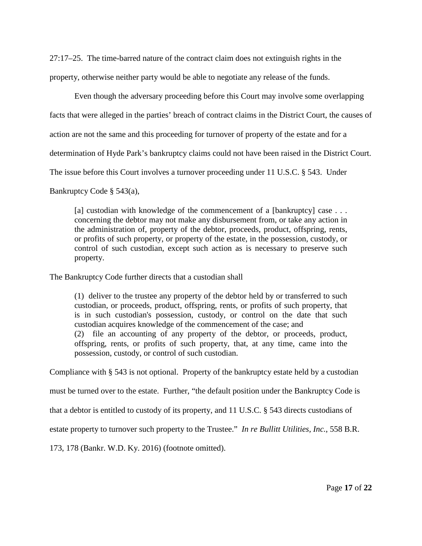27:17–25. The time-barred nature of the contract claim does not extinguish rights in the property, otherwise neither party would be able to negotiate any release of the funds.

Even though the adversary proceeding before this Court may involve some overlapping facts that were alleged in the parties' breach of contract claims in the District Court, the causes of action are not the same and this proceeding for turnover of property of the estate and for a determination of Hyde Park's bankruptcy claims could not have been raised in the District Court. The issue before this Court involves a turnover proceeding under 11 U.S.C. § 543. Under

Bankruptcy Code § 543(a),

[a] custodian with knowledge of the commencement of a [bankruptcy] case . . . concerning the debtor may not make any disbursement from, or take any action in the administration of, property of the debtor, proceeds, product, offspring, rents, or profits of such property, or property of the estate, in the possession, custody, or control of such custodian, except such action as is necessary to preserve such property.

The Bankruptcy Code further directs that a custodian shall

(1) deliver to the trustee any property of the debtor held by or transferred to such custodian, or proceeds, product, offspring, rents, or profits of such property, that is in such custodian's possession, custody, or control on the date that such custodian acquires knowledge of the commencement of the case; and (2) file an accounting of any property of the debtor, or proceeds, product, offspring, rents, or profits of such property, that, at any time, came into the possession, custody, or control of such custodian.

Compliance with § 543 is not optional. Property of the bankruptcy estate held by a custodian

must be turned over to the estate. Further, "the default position under the Bankruptcy Code is

that a debtor is entitled to custody of its property, and 11 U.S.C. § 543 directs custodians of

estate property to turnover such property to the Trustee." *In re Bullitt Utilities, Inc.*, 558 B.R.

173, 178 (Bankr. W.D. Ky. 2016) (footnote omitted).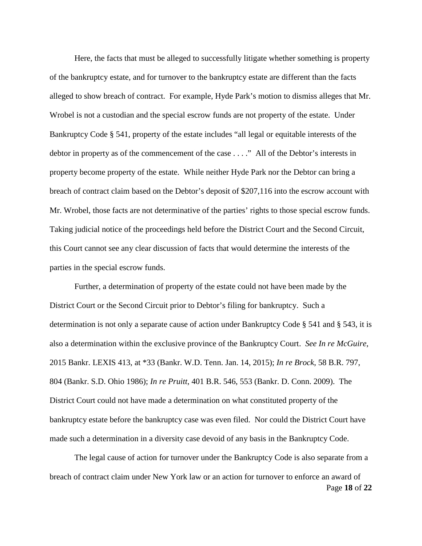Here, the facts that must be alleged to successfully litigate whether something is property of the bankruptcy estate, and for turnover to the bankruptcy estate are different than the facts alleged to show breach of contract. For example, Hyde Park's motion to dismiss alleges that Mr. Wrobel is not a custodian and the special escrow funds are not property of the estate. Under Bankruptcy Code § 541, property of the estate includes "all legal or equitable interests of the debtor in property as of the commencement of the case . . . ." All of the Debtor's interests in property become property of the estate. While neither Hyde Park nor the Debtor can bring a breach of contract claim based on the Debtor's deposit of \$207,116 into the escrow account with Mr. Wrobel, those facts are not determinative of the parties' rights to those special escrow funds. Taking judicial notice of the proceedings held before the District Court and the Second Circuit, this Court cannot see any clear discussion of facts that would determine the interests of the parties in the special escrow funds.

Further, a determination of property of the estate could not have been made by the District Court or the Second Circuit prior to Debtor's filing for bankruptcy. Such a determination is not only a separate cause of action under Bankruptcy Code § 541 and § 543, it is also a determination within the exclusive province of the Bankruptcy Court. *See In re McGuire*, 2015 Bankr. LEXIS 413, at \*33 (Bankr. W.D. Tenn. Jan. 14, 2015); *In re Brock*, 58 B.R. 797, 804 (Bankr. S.D. Ohio 1986); *In re Pruitt*, 401 B.R. 546, 553 (Bankr. D. Conn. 2009). The District Court could not have made a determination on what constituted property of the bankruptcy estate before the bankruptcy case was even filed. Nor could the District Court have made such a determination in a diversity case devoid of any basis in the Bankruptcy Code.

Page **18** of **22** The legal cause of action for turnover under the Bankruptcy Code is also separate from a breach of contract claim under New York law or an action for turnover to enforce an award of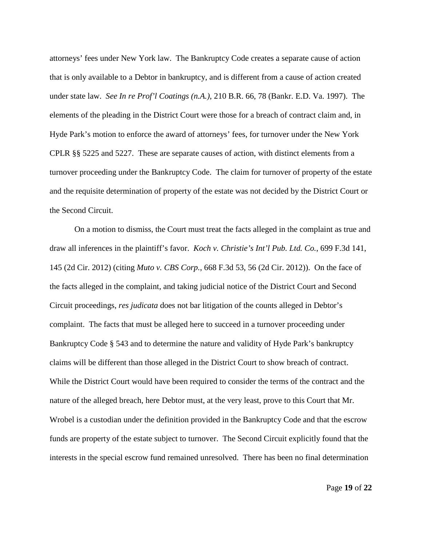attorneys' fees under New York law. The Bankruptcy Code creates a separate cause of action that is only available to a Debtor in bankruptcy, and is different from a cause of action created under state law. *See In re Prof'l Coatings (n.A.)*, 210 B.R. 66, 78 (Bankr. E.D. Va. 1997). The elements of the pleading in the District Court were those for a breach of contract claim and, in Hyde Park's motion to enforce the award of attorneys' fees, for turnover under the New York CPLR §§ 5225 and 5227. These are separate causes of action, with distinct elements from a turnover proceeding under the Bankruptcy Code. The claim for turnover of property of the estate and the requisite determination of property of the estate was not decided by the District Court or the Second Circuit.

On a motion to dismiss, the Court must treat the facts alleged in the complaint as true and draw all inferences in the plaintiff's favor. *Koch v. Christie's Int'l Pub. Ltd. Co.*, 699 F.3d 141, 145 (2d Cir. 2012) (citing *Muto v. CBS Corp.*, 668 F.3d 53, 56 (2d Cir. 2012)). On the face of the facts alleged in the complaint, and taking judicial notice of the District Court and Second Circuit proceedings, *res judicata* does not bar litigation of the counts alleged in Debtor's complaint. The facts that must be alleged here to succeed in a turnover proceeding under Bankruptcy Code § 543 and to determine the nature and validity of Hyde Park's bankruptcy claims will be different than those alleged in the District Court to show breach of contract. While the District Court would have been required to consider the terms of the contract and the nature of the alleged breach, here Debtor must, at the very least, prove to this Court that Mr. Wrobel is a custodian under the definition provided in the Bankruptcy Code and that the escrow funds are property of the estate subject to turnover. The Second Circuit explicitly found that the interests in the special escrow fund remained unresolved. There has been no final determination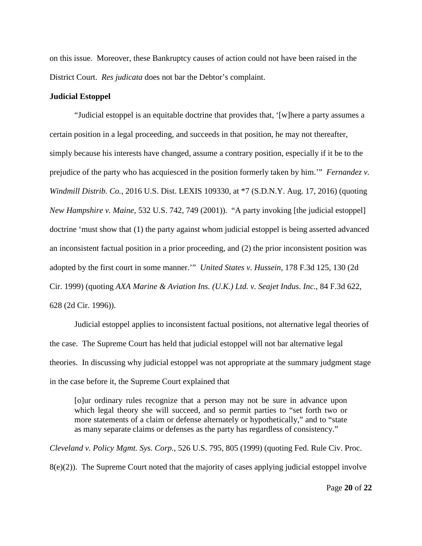on this issue. Moreover, these Bankruptcy causes of action could not have been raised in the District Court. *Res judicata* does not bar the Debtor's complaint.

# **Judicial Estoppel**

"Judicial estoppel is an equitable doctrine that provides that, '[w]here a party assumes a certain position in a legal proceeding, and succeeds in that position, he may not thereafter, simply because his interests have changed, assume a contrary position, especially if it be to the prejudice of the party who has acquiesced in the position formerly taken by him.'" *Fernandez v. Windmill Distrib. Co.*, 2016 U.S. Dist. LEXIS 109330, at \*7 (S.D.N.Y. Aug. 17, 2016) (quoting *New Hampshire v. Maine*, 532 U.S. 742, 749 (2001)). "A party invoking [the judicial estoppel] doctrine 'must show that (1) the party against whom judicial estoppel is being asserted advanced an inconsistent factual position in a prior proceeding, and (2) the prior inconsistent position was adopted by the first court in some manner.'" *United States v. Hussein*, 178 F.3d 125, 130 (2d Cir. 1999) (quoting *AXA Marine & Aviation Ins. (U.K.) Ltd. v. Seajet Indus. Inc.*, 84 F.3d 622, 628 (2d Cir. 1996)).

Judicial estoppel applies to inconsistent factual positions, not alternative legal theories of the case. The Supreme Court has held that judicial estoppel will not bar alternative legal theories. In discussing why judicial estoppel was not appropriate at the summary judgment stage in the case before it, the Supreme Court explained that

[o]ur ordinary rules recognize that a person may not be sure in advance upon which legal theory she will succeed, and so permit parties to "set forth two or more statements of a claim or defense alternately or hypothetically," and to "state as many separate claims or defenses as the party has regardless of consistency."

*Cleveland v. Policy Mgmt. Sys. Corp.*, 526 U.S. 795, 805 (1999) (quoting Fed. Rule Civ. Proc.  $8(e)(2)$ ). The Supreme Court noted that the majority of cases applying judicial estoppel involve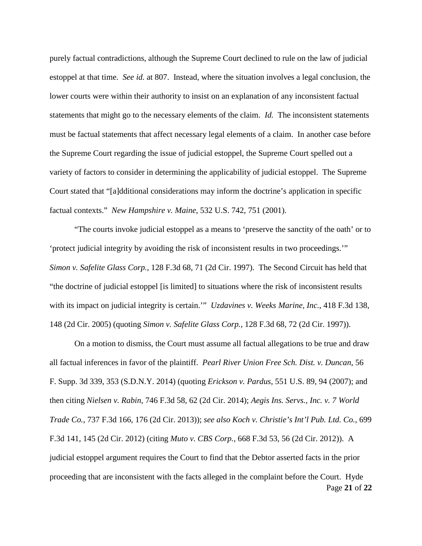purely factual contradictions, although the Supreme Court declined to rule on the law of judicial estoppel at that time. *See id.* at 807. Instead, where the situation involves a legal conclusion, the lower courts were within their authority to insist on an explanation of any inconsistent factual statements that might go to the necessary elements of the claim. *Id.* The inconsistent statements must be factual statements that affect necessary legal elements of a claim. In another case before the Supreme Court regarding the issue of judicial estoppel, the Supreme Court spelled out a variety of factors to consider in determining the applicability of judicial estoppel. The Supreme Court stated that "[a]dditional considerations may inform the doctrine's application in specific factual contexts." *New Hampshire v. Maine*, 532 U.S. 742, 751 (2001).

"The courts invoke judicial estoppel as a means to 'preserve the sanctity of the oath' or to 'protect judicial integrity by avoiding the risk of inconsistent results in two proceedings.'" *Simon v. Safelite Glass Corp.*, 128 F.3d 68, 71 (2d Cir. 1997). The Second Circuit has held that "the doctrine of judicial estoppel [is limited] to situations where the risk of inconsistent results with its impact on judicial integrity is certain.'" *Uzdavines v. Weeks Marine, Inc.*, 418 F.3d 138, 148 (2d Cir. 2005) (quoting *Simon v. Safelite Glass Corp.*, 128 F.3d 68, 72 (2d Cir. 1997)).

Page **21** of **22** On a motion to dismiss, the Court must assume all factual allegations to be true and draw all factual inferences in favor of the plaintiff. *Pearl River Union Free Sch. Dist. v. Duncan*, 56 F. Supp. 3d 339, 353 (S.D.N.Y. 2014) (quoting *Erickson v. Pardus*, 551 U.S. 89, 94 (2007); and then citing *Nielsen v. Rabin*, 746 F.3d 58, 62 (2d Cir. 2014); *Aegis Ins. Servs., Inc. v. 7 World Trade Co.*, 737 F.3d 166, 176 (2d Cir. 2013)); *see also Koch v. Christie's Int'l Pub. Ltd. Co.*, 699 F.3d 141, 145 (2d Cir. 2012) (citing *Muto v. CBS Corp.*, 668 F.3d 53, 56 (2d Cir. 2012)). A judicial estoppel argument requires the Court to find that the Debtor asserted facts in the prior proceeding that are inconsistent with the facts alleged in the complaint before the Court. Hyde